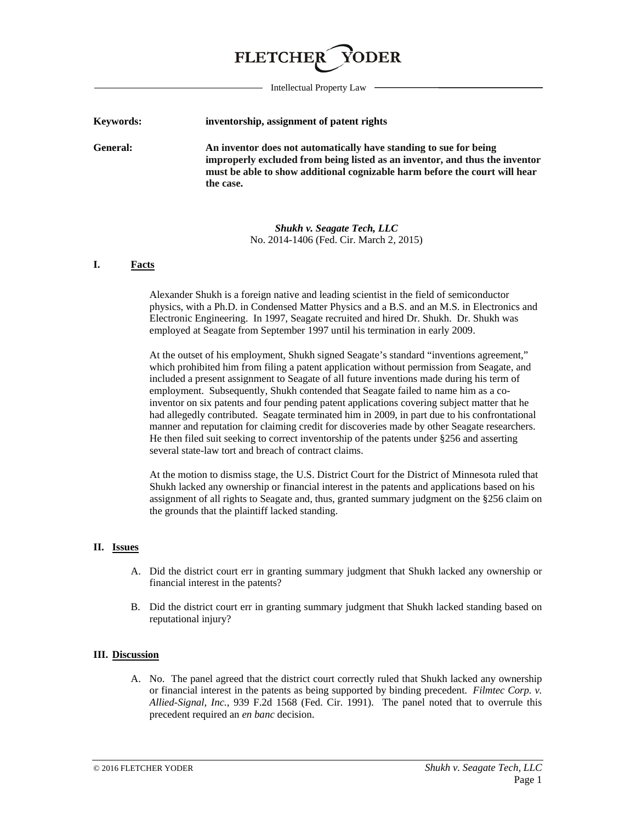# **FLETCHE**

Intellectual Property Law

| Keywords:       | inventorship, assignment of patent rights                                                                                                                                                                                                   |
|-----------------|---------------------------------------------------------------------------------------------------------------------------------------------------------------------------------------------------------------------------------------------|
| <b>General:</b> | An inventor does not automatically have standing to sue for being<br>improperly excluded from being listed as an inventor, and thus the inventor<br>must be able to show additional cognizable harm before the court will hear<br>the case. |

*Shukh v. Seagate Tech, LLC* No. 2014-1406 (Fed. Cir. March 2, 2015)

### **I. Facts**

Alexander Shukh is a foreign native and leading scientist in the field of semiconductor physics, with a Ph.D. in Condensed Matter Physics and a B.S. and an M.S. in Electronics and Electronic Engineering. In 1997, Seagate recruited and hired Dr. Shukh. Dr. Shukh was employed at Seagate from September 1997 until his termination in early 2009.

At the outset of his employment, Shukh signed Seagate's standard "inventions agreement," which prohibited him from filing a patent application without permission from Seagate, and included a present assignment to Seagate of all future inventions made during his term of employment. Subsequently, Shukh contended that Seagate failed to name him as a coinventor on six patents and four pending patent applications covering subject matter that he had allegedly contributed. Seagate terminated him in 2009, in part due to his confrontational manner and reputation for claiming credit for discoveries made by other Seagate researchers. He then filed suit seeking to correct inventorship of the patents under §256 and asserting several state-law tort and breach of contract claims.

At the motion to dismiss stage, the U.S. District Court for the District of Minnesota ruled that Shukh lacked any ownership or financial interest in the patents and applications based on his assignment of all rights to Seagate and, thus, granted summary judgment on the §256 claim on the grounds that the plaintiff lacked standing.

# **II. Issues**

- A. Did the district court err in granting summary judgment that Shukh lacked any ownership or financial interest in the patents?
- B. Did the district court err in granting summary judgment that Shukh lacked standing based on reputational injury?

#### **III. Discussion**

A. No. The panel agreed that the district court correctly ruled that Shukh lacked any ownership or financial interest in the patents as being supported by binding precedent. *Filmtec Corp. v. Allied-Signal, Inc.*, 939 F.2d 1568 (Fed. Cir. 1991). The panel noted that to overrule this precedent required an *en banc* decision.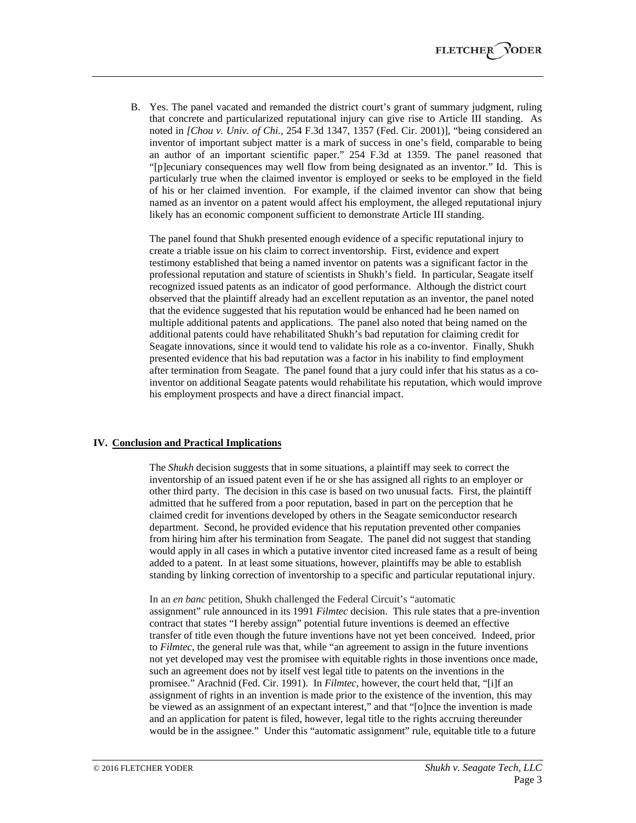B. Yes. The panel vacated and remanded the district court's grant of summary judgment, ruling that concrete and particularized reputational injury can give rise to Article III standing. As noted in *[Chou v. Univ. of Chi.*, 254 F.3d 1347, 1357 (Fed. Cir. 2001)], "being considered an inventor of important subject matter is a mark of success in one's field, comparable to being an author of an important scientific paper." 254 F.3d at 1359. The panel reasoned that "[p]ecuniary consequences may well flow from being designated as an inventor." Id. This is particularly true when the claimed inventor is employed or seeks to be employed in the field of his or her claimed invention. For example, if the claimed inventor can show that being named as an inventor on a patent would affect his employment, the alleged reputational injury likely has an economic component sufficient to demonstrate Article III standing.

The panel found that Shukh presented enough evidence of a specific reputational injury to create a triable issue on his claim to correct inventorship. First, evidence and expert testimony established that being a named inventor on patents was a significant factor in the professional reputation and stature of scientists in Shukh's field. In particular, Seagate itself recognized issued patents as an indicator of good performance. Although the district court observed that the plaintiff already had an excellent reputation as an inventor, the panel noted that the evidence suggested that his reputation would be enhanced had he been named on multiple additional patents and applications. The panel also noted that being named on the additional patents could have rehabilitated Shukh's bad reputation for claiming credit for Seagate innovations, since it would tend to validate his role as a co-inventor. Finally, Shukh presented evidence that his bad reputation was a factor in his inability to find employment after termination from Seagate. The panel found that a jury could infer that his status as a coinventor on additional Seagate patents would rehabilitate his reputation, which would improve his employment prospects and have a direct financial impact.

## **IV. Conclusion and Practical Implications**

The *Shukh* decision suggests that in some situations, a plaintiff may seek to correct the inventorship of an issued patent even if he or she has assigned all rights to an employer or other third party. The decision in this case is based on two unusual facts. First, the plaintiff admitted that he suffered from a poor reputation, based in part on the perception that he claimed credit for inventions developed by others in the Seagate semiconductor research department. Second, he provided evidence that his reputation prevented other companies from hiring him after his termination from Seagate. The panel did not suggest that standing would apply in all cases in which a putative inventor cited increased fame as a result of being added to a patent. In at least some situations, however, plaintiffs may be able to establish standing by linking correction of inventorship to a specific and particular reputational injury.

In an *en banc* petition, Shukh challenged the Federal Circuit's "automatic assignment" rule announced in its 1991 *Filmtec* decision. This rule states that a pre-invention contract that states "I hereby assign" potential future inventions is deemed an effective transfer of title even though the future inventions have not yet been conceived. Indeed, prior to *Filmtec*, the general rule was that, while "an agreement to assign in the future inventions not yet developed may vest the promisee with equitable rights in those inventions once made, such an agreement does not by itself vest legal title to patents on the inventions in the promisee." Arachnid (Fed. Cir. 1991). In *Filmtec*, however, the court held that, "[i]f an assignment of rights in an invention is made prior to the existence of the invention, this may be viewed as an assignment of an expectant interest," and that "[o]nce the invention is made and an application for patent is filed, however, legal title to the rights accruing thereunder would be in the assignee." Under this "automatic assignment" rule, equitable title to a future